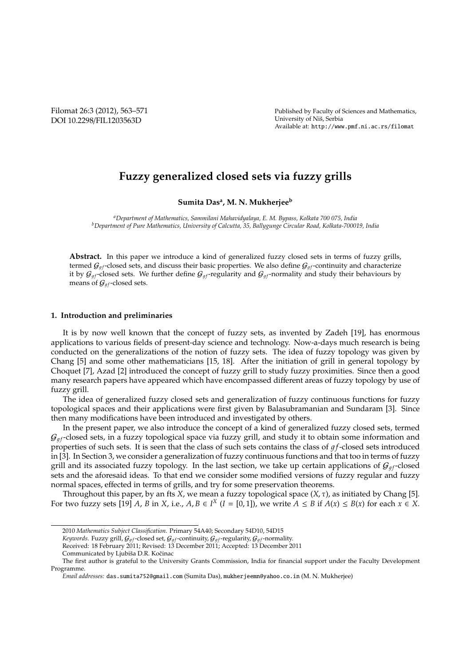Filomat 26:3 (2012), 563–571 DOI 10.2298/FIL1203563D

Published by Faculty of Sciences and Mathematics, University of Niš, Serbia Available at: http://www.pmf.ni.ac.rs/filomat

# **Fuzzy generalized closed sets via fuzzy grills**

**Sumita Das<sup>a</sup> , M. N. Mukherjee<sup>b</sup>**

*<sup>a</sup>Department of Mathematics, Sammilani Mahavidyalaya, E. M. Bypass, Kolkata 700 075, India <sup>b</sup>Department of Pure Mathematics, University of Calcutta, 35, Ballygunge Circular Road, Kolkata-700019, India*

**Abstract.** In this paper we introduce a kind of generalized fuzzy closed sets in terms of fuzzy grills, termed  $G_{af}$ -closed sets, and discuss their basic properties. We also define  $G_{af}$ -continuity and characterize it by  $G_{af}$ -closed sets. We further define  $G_{af}$ -regularity and  $G_{af}$ -normality and study their behaviours by means of  $G_{gf}$ -closed sets.

## **1. Introduction and preliminaries**

It is by now well known that the concept of fuzzy sets, as invented by Zadeh [19], has enormous applications to various fields of present-day science and technology. Now-a-days much research is being conducted on the generalizations of the notion of fuzzy sets. The idea of fuzzy topology was given by Chang [5] and some other mathematicians [15, 18]. After the initiation of grill in general topology by Choquet [7], Azad [2] introduced the concept of fuzzy grill to study fuzzy proximities. Since then a good many research papers have appeared which have encompassed different areas of fuzzy topology by use of fuzzy grill.

The idea of generalized fuzzy closed sets and generalization of fuzzy continuous functions for fuzzy topological spaces and their applications were first given by Balasubramanian and Sundaram [3]. Since then many modifications have been introduced and investigated by others.

In the present paper, we also introduce the concept of a kind of generalized fuzzy closed sets, termed  $G_{af}$ -closed sets, in a fuzzy topological space via fuzzy grill, and study it to obtain some information and properties of such sets. It is seen that the class of such sets contains the class of  $qf$ -closed sets introduced in [3]. In Section 3, we consider a generalization of fuzzy continuous functions and that too in terms of fuzzy grill and its associated fuzzy topology. In the last section, we take up certain applications of  $\mathcal{G}_{a f}$ -closed sets and the aforesaid ideas. To that end we consider some modified versions of fuzzy regular and fuzzy normal spaces, effected in terms of grills, and try for some preservation theorems.

Throughout this paper, by an fts *X*, we mean a fuzzy topological space (*X*, τ), as initiated by Chang [5]. For two fuzzy sets [19] *A*, *B* in *X*, i.e., *A*, *B*  $\in$  *I<sup>X</sup>* (*I* = [0, 1]), we write *A*  $\leq$  *B* if *A*(*x*)  $\leq$  *B*(*x*) for each *x*  $\in$  *X*.

<sup>2010</sup> *Mathematics Subject Classification*. Primary 54A40; Secondary 54D10, 54D15

*Keywords*. Fuzzy grill,  $G_{gf}$ -closed set,  $G_{gf}$ -continuity,  $G_{gf}$ -regularity,  $G_{gf}$ -normality.

Received: 18 February 2011; Revised: 13 December 2011; Accepted: 13 December 2011

Communicated by Ljubiša D.R. Kočinac

The first author is grateful to the University Grants Commission, India for financial support under the Faculty Development Programme.

*Email addresses:* das.sumita752@gmail.com (Sumita Das), mukherjeemn@yahoo.co.in (M. N. Mukherjee)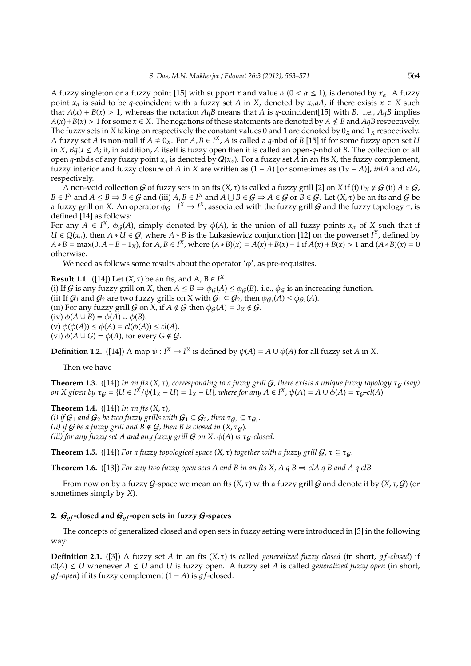A fuzzy singleton or a fuzzy point [15] with support *x* and value  $\alpha$  (0 <  $\alpha \le 1$ ), is denoted by  $x_{\alpha}$ . A fuzzy point  $x_\alpha$  is said to be *q*-coincident with a fuzzy set *A* in *X*, denoted by  $x_\alpha qA$ , if there exists  $x \in X$  such that  $A(x) + B(x) > 1$ , whereas the notation  $AqB$  means that *A* is *q*-coincident[15] with *B*. i.e.,  $AqB$  implies  $A(x) + B(x) > 1$  for some  $x \in X$ . The negations of these statements are denoted by  $A \nleq B$  and  $A\overline{q}B$  respectively. The fuzzy sets in *X* taking on respectively the constant values 0 and 1 are denoted by  $0_X$  and  $1_X$  respectively. A fuzzy set *A* is non-null if  $A \neq 0_X$ . For  $A, B \in I^X$ , *A* is called a *q*-nbd of *B* [15] if for some fuzzy open set *U* in *X*, *BqU* ≤ *A*; if, in addition, *A* itself is fuzzy open then it is called an open-*q*-nbd of *B*. The collection of all open *q*-nbds of any fuzzy point  $x_\alpha$  is denoted by  $Q(x_\alpha)$ . For a fuzzy set *A* in an fts *X*, the fuzzy complement, fuzzy interior and fuzzy closure of *A* in *X* are written as  $(1 - A)$  [or sometimes as  $(1_X - A)$ ], *intA* and *clA*, respectively.

A non-void collection G of fuzzy sets in an fts  $(X, \tau)$  is called a fuzzy grill [2] on X if (i)  $0_X \notin G$  (ii)  $A \in G$ ,  $B \in I^X$  and  $A \leq B \Rightarrow B \in \mathcal{G}$  and (iii)  $A, B \in I^X$  and  $A \cup B \in \mathcal{G} \Rightarrow A \in \mathcal{G}$  or  $B \in \mathcal{G}$ . Let  $(X, \tau)$  be an fts and  $\mathcal{G}$  be a fuzzy grill on *X*. An operator  $\phi_g: I^X \to I^X$ , associated with the fuzzy grill G and the fuzzy topology  $\tau$ , is defined [14] as follows:

For any  $A \in I^X$ ,  $\phi_g(A)$ , simply denoted by  $\phi(A)$ , is the union of all fuzzy points  $x_\alpha$  of X such that if *U* ∈  $Q(x_\alpha)$ , then *A* ∗ *U* ∈ *G*, where *A* ∗ *B* is the Lukasiewicz conjunction [12] on the powerset *I<sup>x</sup>*, defined by  $A * B = max(0, A + B - 1<sub>X</sub>)$ , for  $A, B \in I<sup>X</sup>$ , where  $(A * B)(x) = A(x) + B(x) - 1$  if  $A(x) + B(x) > 1$  and  $(A * B)(x) = 0$ otherwise.

We need as follows some results about the operator  $'\phi'$ , as pre-requisites.

**Result 1.1.** ([14]) Let  $(X, \tau)$  be an fts, and  $A, B \in I^X$ . (i) If *G* is any fuzzy grill on *X*, then  $A \leq B \Rightarrow \phi_G(A) \leq \phi_G(B)$ . i.e.,  $\phi_G$  is an increasing function. (ii) If  $G_1$  and  $G_2$  are two fuzzy grills on X with  $G_1 \subseteq G_2$ , then  $\phi_{G_1}(A) \leq \phi_{G_2}(A)$ . (iii) For any fuzzy grill  $G$  on  $X$ , if  $A \notin G$  then  $\phi_G(A) = 0_X \notin G$ . (iv)  $\phi(A \cup B) = \phi(A) \cup \phi(B)$ .  $(v) \phi(\phi(A)) \leq \phi(A) = cl(\phi(A)) \leq cl(A).$ (vi)  $\phi(A \cup G) = \phi(A)$ , for every  $G \notin \mathcal{G}$ .

**Definition 1.2.** ([14]) A map  $\psi: I^X \to I^X$  is defined by  $\psi(A) = A \cup \phi(A)$  for all fuzzy set *A* in *X*.

Then we have

**Theorem 1.3.** ([14]) In an fts  $(X, \tau)$ , corresponding to a fuzzy grill  $G$ , there exists a unique fuzzy topology  $\tau_G$  (say) on X given by  $\tau_{\mathcal{G}} = \{U \in I^X/\psi(1_X - U) = 1_X - U\}$ , where for any  $A \in I^X$ ,  $\psi(A) = A \cup \phi(A) = \tau_{\mathcal{G}}$ -cl(A).

**Theorem 1.4.** ([14]) *In an fts* (*X*, τ)*, (i)* if  $G_1$  and  $G_2$  be two fuzzy grills with  $G_1 \subseteq G_2$ , then  $\tau_{G_2} \subseteq \tau_{G_1}$ . *(ii) if G be a fuzzy grill and*  $B \notin G$ *, then B is closed in*  $(X, \tau_G)$ *. (iii) for any fuzzy set A and any fuzzy grill*  $G$  *on X,*  $\phi$ *(A) is*  $\tau_G$ *-closed.* 

**Theorem 1.5.** ([14]) *For a fuzzy topological space*  $(X, \tau)$  *together with a fuzzy grill*  $G, \tau \subseteq \tau_G$ *.* 

**Theorem 1.6.** ([13]) *For any two fuzzy open sets A and B in an fts X, A*  $\bar{q}$  *B*  $\Rightarrow$  *clA*  $\bar{q}$  *B and A*  $\bar{q}$  *clB.* 

From now on by a fuzzy  $G$ -space we mean an fts  $(X, \tau)$  with a fuzzy grill  $G$  and denote it by  $(X, \tau, G)$  (or sometimes simply by *X*).

# 2.  $G_{af}$ -closed and  $G_{af}$ -open sets in fuzzy  $G$ -spaces

The concepts of generalized closed and open sets in fuzzy setting were introduced in [3] in the following way:

**Definition 2.1.** ([3]) A fuzzy set *A* in an fts  $(X, \tau)$  is called *generalized fuzzy closed* (in short, *qf-closed*) if  $cl(A) \leq U$  whenever  $A \leq U$  and  $U$  is fuzzy open. A fuzzy set  $A$  is called *generalized fuzzy open* (in short,  $qf$ -*open*) if its fuzzy complement  $(1 - A)$  is  $qf$ -closed.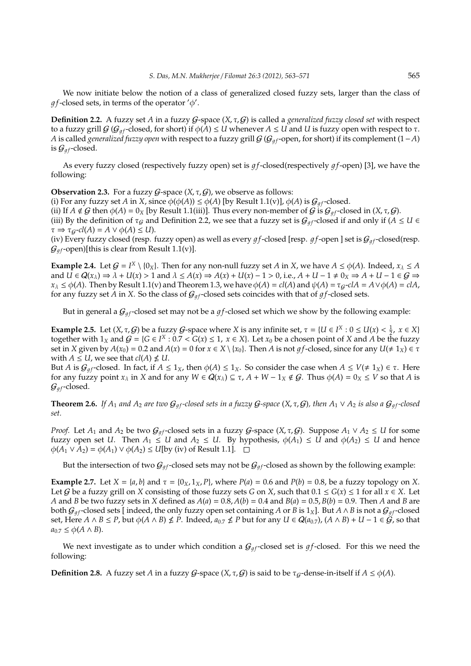We now initiate below the notion of a class of generalized closed fuzzy sets, larger than the class of  $gf$ -closed sets, in terms of the operator  $'\phi'$ .

**Definition 2.2.** A fuzzy set *A* in a fuzzy  $G$ -space  $(X, \tau, G)$  is called a *generalized fuzzy closed set* with respect to a fuzzy grill  $G$  ( $G_{af}$ -closed, for short) if  $\phi(A) \leq U$  whenever  $A \leq U$  and  $U$  is fuzzy open with respect to  $\tau$ . *A* is called *generalized fuzzy open* with respect to a fuzzy grill  $G(G_{a}$  open, for short) if its complement (1−*A*) is  $\mathcal{G}_{af}$ -closed.

As every fuzzy closed (respectively fuzzy open) set is  $gf$ -closed(respectively  $gf$ -open) [3], we have the following:

**Observation 2.3.** For a fuzzy  $G$ -space  $(X, \tau, G)$ , we observe as follows:

(i) For any fuzzy set *A* in *X*, since  $\phi(\phi(A)) \leq \phi(A)$  [by Result 1.1(v)],  $\phi(A)$  is  $\mathcal{G}_{af}$ -closed.

(ii) If  $A \notin \mathcal{G}$  then  $\phi(A) = 0_X$  [by Result 1.1(iii)]. Thus every non-member of  $\mathcal{G}$  is  $\mathcal{G}_{qf}$ -closed in  $(X, \tau, \mathcal{G})$ .

(iii) By the definition of  $\tau_G$  and Definition 2.2, we see that a fuzzy set is  $\mathcal{G}_{qf}$ -closed if and only if ( $A \leq U \in$  $\tau \Rightarrow \tau_G\text{-}cl(A) = A \vee \phi(A) \leq U$ .

(iv) Every fuzzy closed (resp. fuzzy open) as well as every  $gf$ -closed [resp.  $gf$ -open ] set is  $G_{gf}$ -closed(resp.  $G_{qf}$ -open)[this is clear from Result 1.1(v)].

**Example 2.4.** Let  $G = I^X \setminus \{0_X\}$ . Then for any non-null fuzzy set *A* in *X*, we have  $A \le \phi(A)$ . Indeed,  $x_\lambda \le A$ and  $U \in Q(x_\lambda) \Rightarrow \lambda + U(x) > 1$  and  $\lambda \leq A(x) \Rightarrow A(x) + U(x) - 1 > 0$ , i.e.,  $A + U - 1 \neq 0$ ,  $\Rightarrow A + U - 1 \in G \Rightarrow$  $x_{\lambda} \leq \phi(A)$ . Then by Result 1.1(v) and Theorem 1.3, we have  $\phi(A) = cl(A)$  and  $\psi(A) = \tau_{\mathcal{G}}-clA = A \vee \phi(A) = clA$ , for any fuzzy set *A* in *X*. So the class of  $\mathcal{G}_{qf}$ -closed sets coincides with that of  $gf$ -closed sets.

But in general a  $G_{qf}$ -closed set may not be a  $gf$ -closed set which we show by the following example:

**Example 2.5.** Let  $(X, \tau, G)$  be a fuzzy  $G$ -space where  $X$  is any infinite set,  $\tau = \{U \in I^X : 0 \le U(x) < \frac{1}{2}, x \in X\}$ together with  $1_X$  and  $G = \{G \in I^X : 0.7 < G(x) \leq 1, \ x \in X\}$ . Let  $x_0$  be a chosen point of  $X$  and  $A$  be the fuzzy set in *X* given by  $A(x_0) = 0.2$  and  $A(x) = 0$  for  $x \in X \setminus \{x_0\}$ . Then *A* is not *gf*-closed, since for any  $U(\neq 1_X) \in \tau$ with  $A \leq U$ , we see that  $cl(A) \nleq U$ .

But *A* is  $G_{af}$ -closed. In fact, if  $A \le 1_X$ , then  $\phi(A) \le 1_X$ . So consider the case when  $A \le V(\ne 1_X) \in \tau$ . Here for any fuzzy point  $x_\lambda$  in *X* and for any  $W \in Q(x_\lambda) \subseteq \tau$ ,  $A + W - 1_X \notin \mathcal{G}$ . Thus  $\phi(A) = 0_X \leq V$  so that *A* is  $\mathcal{G}_{af}$ -closed.

**Theorem 2.6.** *If*  $A_1$  *and*  $A_2$  *are two*  $G_{qf}$ -closed sets in a fuzzy  $G$ -space ( $X, \tau, G$ ), then  $A_1 \vee A_2$  is also a  $G_{qf}$ -closed *set.*

*Proof.* Let  $A_1$  and  $A_2$  be two  $\mathcal{G}_{gf}$ -closed sets in a fuzzy  $\mathcal{G}$ -space  $(X, \tau, \mathcal{G})$ . Suppose  $A_1 \vee A_2 \leq U$  for some fuzzy open set *U*. Then  $A_1 \leq U$  and  $A_2 \leq U$ . By hypothesis,  $\phi(A_1) \leq U$  and  $\phi(A_2) \leq U$  and hence  $\phi(A_1 \vee A_2) = \phi(A_1) \vee \phi(A_2) \le U$ [by (iv) of Result 1.1]. □

But the intersection of two  $G_{af}$ -closed sets may not be  $G_{af}$ -closed as shown by the following example:

**Example 2.7.** Let  $X = \{a, b\}$  and  $\tau = \{0_X, 1_X, P\}$ , where  $P(a) = 0.6$  and  $P(b) = 0.8$ , be a fuzzy topology on *X*. Let G be a fuzzy grill on *X* consisting of those fuzzy sets *G* on *X*, such that  $0.1 \le G(x) \le 1$  for all  $x \in X$ . Let *A* and *B* be two fuzzy sets in *X* defined as  $A(a) = 0.8$ ,  $A(b) = 0.4$  and  $B(a) = 0.5$ ,  $B(b) = 0.9$ . Then *A* and *B* are both  $G_{qf}$ -closed sets [indeed, the only fuzzy open set containing *A* or *B* is 1<sub>X</sub>]. But *A* ∧ *B* is not a  $G_{qf}$ -closed set, Here  $A\wedge B\leq P$ , but  $\phi(A\wedge B)\nleq P$ . Indeed,  $a_{0.7}\nleq P$  but for any  $U\in\pmb{Q}(a_{0.7})$ ,  $(A\wedge B)+U-1\in\pmb{\tilde{\mathcal{G}}}$ , so that  $a_{0.7}$  ≤  $\phi$ (*A* ∧ *B*).

We next investigate as to under which condition a  $G_{gf}$ -closed set is  $gf$ -closed. For this we need the following:

**Definition 2.8.** A fuzzy set *A* in a fuzzy *G*-space  $(X, \tau, G)$  is said to be  $\tau_G$ -dense-in-itself if  $A \leq \phi(A)$ .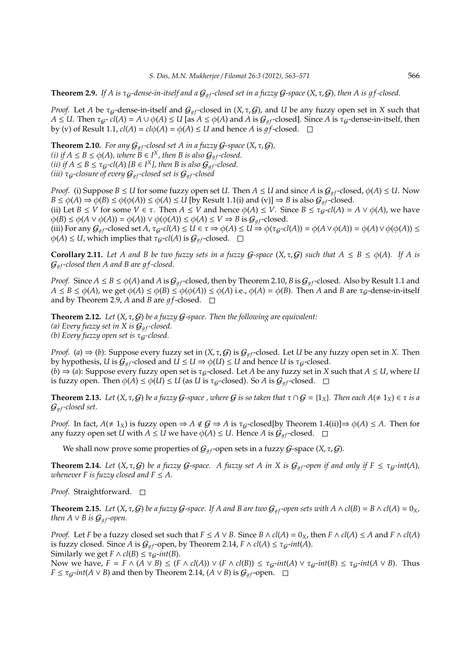**Theorem 2.9.** If A is  $\tau_g$ -dense-in-itself and a  $\mathcal{G}_{gf}$ -closed set in a fuzzy  $\mathcal{G}$ -space  $(X, \tau, \mathcal{G})$ , then A is gf-closed.

*Proof.* Let *A* be  $\tau_g$ -dense-in-itself and  $G_{qf}$ -closed in  $(X, \tau, G)$ , and *U* be any fuzzy open set in *X* such that  $A \leq U$ . Then  $\tau_{G^-}$   $cl(A) = A \cup \phi(A) \leq U$  [as  $A \leq \phi(A)$  and  $A$  is  $\mathcal{G}_{af}$ -closed]. Since  $A$  is  $\tau_{G}$ -dense-in-itself, then by (v) of Result 1.1,  $cl(A) = cl\phi(A) = \phi(A) \leq U$  and hence *A* is  $gf$ -closed.  $\square$ 

**Theorem 2.10.** *For any*  $G_{af}$ -closed set A in a fuzzy  $G$ -space  $(X, \tau, G)$ , *(i)* if  $A \leq B \leq \phi(A)$ , where  $B \in I^X$ , then B is also  $\mathcal{G}_{gf}$ -closed. *(ii) if*  $A \leq B \leq \tau_{\mathcal{G}}$ -cl(A) [ $B \in I^X$ ], then B is also  $\mathcal{G}_{gf}$ -closed. *(iii)*  $\tau_{G}$ -closure of every  $G_{af}$ -closed set is  $G_{af}$ -closed

*Proof.* (i) Suppose *B*  $\leq$  *U* for some fuzzy open set *U*. Then *A*  $\leq$  *U* and since *A* is  $\mathcal{G}_{qf}$ -closed,  $\phi(A) \leq U$ . Now  $B \le \phi(A) \Rightarrow \phi(B) \le \phi(\phi(A)) \le \phi(A) \le U$  [by Result 1.1(i) and (v)]  $\Rightarrow B$  is also  $G_{af}$ -closed. (ii) Let  $B \le V$  for some  $V \in \tau$ . Then  $A \le V$  and hence  $\phi(A) \le V$ . Since  $B \le \tau_{\mathcal{G}}$ -*cl*(*A*) =  $A \vee \phi(A)$ , we have  $\phi(B) \leq \phi(A \vee \phi(A)) = \phi(A) \vee \phi(\phi(A)) \leq \phi(A) \leq V \Rightarrow B$  is  $\mathcal{G}_{qf}$ -closed. (iii) For any  $\mathcal{G}_{gf}$ -closed set *A*,  $\tau_g$ -*cl*(*A*)  $\leq U \in \tau \Rightarrow \phi(A) \leq U \Rightarrow \phi(\tau_g$ -*cl*(*A*)) =  $\phi(A \vee \phi(A)) = \phi(A) \vee \phi(\phi(A)) \leq$  $\phi(A) \leq U$ , which implies that  $\tau_{G}$ -*cl(A)* is  $\mathcal{G}_{af}$ -closed.  $\square$ 

**Corollary 2.11.** Let A and B be two fuzzy sets in a fuzzy  $G$ -space  $(X, \tau, G)$  such that  $A \leq B \leq \phi(A)$ . If A is  $G_{qf}$ -closed then A and B are  $qf$ -closed.

*Proof.* Since  $A \leq B \leq \phi(A)$  and  $A$  is  $G_{af}$ -closed, then by Theorem 2.10,  $B$  is  $G_{af}$ -closed. Also by Result 1.1 and  $A \leq B \leq \phi(A)$ , we get  $\phi(A) \leq \phi(B) \leq \phi(\phi(A)) \leq \phi(A)$  i.e.,  $\phi(A) = \phi(B)$ . Then *A* and *B* are  $\tau_G$ -dense-in-itself and by Theorem 2.9, *A* and *B* are  $gf$ -closed.  $\Box$ 

**Theorem 2.12.** *Let* (*X*, τ, G) *be a fuzzy* G*-space. Then the following are equivalent: (a) Every fuzzy set in X is*  $G_{af}$ -closed. *(b)* Every fuzzy open set is τ<sub>G</sub>-closed.

*Proof.* (*a*)  $\Rightarrow$  (*b*): Suppose every fuzzy set in (*X*,  $\tau$ , *G*) is  $G_{q}$  *f*-closed. Let *U* be any fuzzy open set in *X*. Then by hypothesis, *U* is  $G_{qf}$ -closed and  $U \leq U \Rightarrow \phi(U) \leq U$  and hence *U* is  $\tau_g$ -closed.  $(b) \Rightarrow (a)$ : Suppose every fuzzy open set is  $\tau_g$ -closed. Let *A* be any fuzzy set in *X* such that  $A \leq U$ , where *U* is fuzzy open. Then  $\phi(A) \leq \phi(U) \leq U$  (as *U* is  $\tau_g$ -closed). So *A* is  $\mathcal{G}_{gf}$ -closed.  $\square$ 

**Theorem 2.13.** Let  $(X, \tau, \mathcal{G})$  be a fuzzy  $\mathcal{G}$ -space, where  $\mathcal{G}$  is so taken that  $\tau \cap \mathcal{G} = \{1_X\}$ . Then each  $A(\neq 1_X) \in \tau$  is a  $\mathcal{G}_{af}$ -closed set.

*Proof.* In fact,  $A \neq 1_X$  is fuzzy open  $\Rightarrow A \notin \mathcal{G} \Rightarrow A$  is  $\tau_{\mathcal{G}}$ -closed[by Theorem 1.4(ii)] $\Rightarrow \phi(A) \leq A$ . Then for any fuzzy open set *U* with  $A \leq U$  we have  $\phi(A) \leq U$ . Hence *A* is  $\mathcal{G}_{qf}$ -closed.  $\square$ 

We shall now prove some properties of  $\mathcal{G}_{af}$ -open sets in a fuzzy  $\mathcal{G}$ -space  $(X, \tau, \mathcal{G})$ .

**Theorem 2.14.** Let  $(X, \tau, G)$  be a fuzzy G-space. A fuzzy set A in X is  $G_{qf}$ -open if and only if  $F \leq \tau_G$ -int $(A)$ , *whenever*  $F$  *is fuzzy closed and*  $F \leq A$ *.* 

*Proof.* Straightforward. □

**Theorem 2.15.** Let  $(X, \tau, \mathcal{G})$  be a fuzzy  $\mathcal{G}$ -space. If A and B are two  $\mathcal{G}_a$ -open sets with  $A \wedge cl(B) = B \wedge cl(A) = 0_X$ , *then*  $A \vee B$  *is*  $\mathcal{G}_{af}$ *-open.* 

*Proof.* Let *F* be a fuzzy closed set such that  $F \le A \vee B$ . Since  $B \wedge cl(A) = 0_X$ , then  $F \wedge cl(A) \le A$  and  $F \wedge cl(A)$ is fuzzy closed. Since *A* is  $G_{af}$ -open, by Theorem 2.14,  $F \wedge cl(A) \leq \tau_G\text{-}int(A)$ . Similarly we get  $F \wedge cl(B) \leq \tau_G\text{-}int(B)$ .

Now we have,  $F = F \wedge (A \vee B) \leq (F \wedge cl(A)) \vee (F \wedge cl(B)) \leq \tau_{G} \cdot int(A) \vee \tau_{G} \cdot int(B) \leq \tau_{G} \cdot int(A \vee B)$ . Thus *F* ≤  $\tau_g$ *-int*(*A* ∨ *B*) and then by Theorem 2.14, (*A* ∨ *B*) is  $G_{qf}$ -open.  $\Box$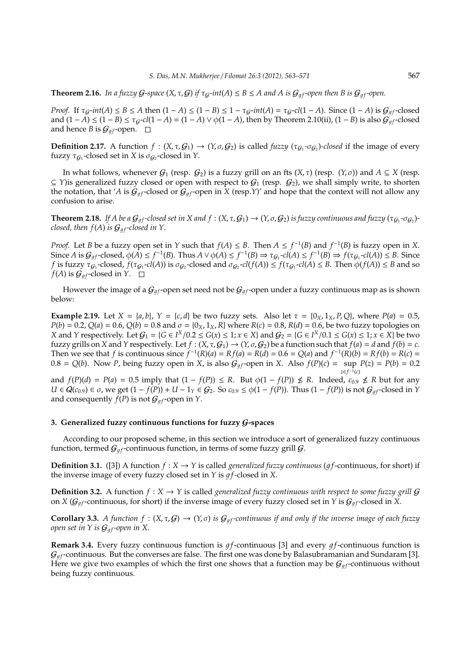**Theorem 2.16.** *In a fuzzy G-space*  $(X, \tau, G)$  *if*  $\tau_G$ -*int*(*A*)  $\leq B \leq A$  *and A is*  $G_{qf}$ -open *then B is*  $G_{qf}$ -open.

*Proof.* If  $\tau_{G}$ -*int*(*A*) ≤ *B* ≤ *A* then  $(1 - A)$  ≤  $(1 - B)$  ≤  $1 - \tau_{G}$ -*int*(*A*) =  $\tau_{G}$ -*cl*(1 − *A*). Since  $(1 - A)$  is  $\mathcal{G}_{af}$ -closed and  $(1 - A)$  ≤  $(1 – B)$  ≤  $\tau_g$ -*cl*(1 − *A*) =  $(1 – A)$  ∨  $\phi$ (1 − *A*), then by Theorem 2.10(ii), (1 − *B*) is also  $\mathcal{G}_{qf}$ -closed and hence *B* is  $G_{qf}$ -open.  $\Box$ 

**Definition 2.17.** A function  $f : (X, \tau, G_1) \to (Y, \sigma, G_2)$  is called *fuzzy*  $(\tau_{G_1} - \sigma_{G_2})$ -closed if the image of every fuzzy  $\tau_{\mathcal{G}_1}$ -closed set in *X* is  $\sigma_{\mathcal{G}_2}$ -closed in *Y*.

In what follows, whenever  $G_1$  (resp.  $G_2$ ) is a fuzzy grill on an fts  $(X, \tau)$  (resp.  $(Y, \sigma)$ ) and  $A \subseteq X$  (resp.  $\subseteq$  *Y*)is generalized fuzzy closed or open with respect to  $G_1$  (resp.  $G_2$ ), we shall simply write, to shorten the notation, that '*A* is  $G_{qf}$ -closed or  $G_{qf}$ -open in *X* (resp.*Y*)' and hope that the context will not allow any confusion to arise.

**Theorem 2.18.** If A be a  $G_{gf}$ -closed set in X and f : (X, τ, G1)  $\to$  (Y, σ, G2) is fuzzy continuous and fuzzy (τ $_{G_1}$ -σ $_{G_2}$ )*closed, then*  $f(A)$  *is*  $G_{af}$ *-closed in Y.* 

*Proof.* Let *B* be a fuzzy open set in *Y* such that  $f(A) \leq B$ . Then  $A \leq f^{-1}(B)$  and  $f^{-1}(B)$  is fuzzy open in *X*. Since  $A$  is  $\mathcal{G}_{gf}$ -closed,  $\phi(A) \leq f^{-1}(B)$ . Thus  $A \vee \phi(A) \leq f^{-1}(B) \Rightarrow \tau_{\mathcal{G}_1}$ -cl $(A) \leq f^{-1}(B) \Rightarrow f(\tau_{\mathcal{G}_1}$ -cl $(A)) \leq B$ . Since *f* is fuzzy  $\tau_{G_1}$ -closed,  $f(\tau_{G_1}$ -*cl*(*A*)) is  $\sigma_{G_2}$ -closed and  $\sigma_{G_2}$ -*cl*(*f*(*A*))  $\leq f(\tau_{G_1}$ -*cl*(*A*)  $\leq B$ . Then  $\phi(f(A)) \leq B$  and so  $f(A)$  is  $\mathcal{G}_{af}$ -closed in *Y*.  $\square$ 

However the image of a  $G_{qf}$ -open set need not be  $G_{qf}$ -open under a fuzzy continuous map as is shown below:

**Example 2.19.** Let  $X = \{a, b\}$ ,  $Y = \{c, d\}$  be two fuzzy sets. Also let  $\tau = \{0_X, 1_X, P, Q\}$ , where  $P(a) = 0.5$ ,  $P(b) = 0.2$ ,  $Q(a) = 0.6$ ,  $Q(b) = 0.8$  and  $\sigma = \{0_X, 1_X, R\}$  where  $R(c) = 0.8$ ,  $R(d) = 0.6$ , be two fuzzy topologies on *X* and *Y* respectively. Let  $G_1 = \{G \in I^X/0.2 \le G(x) \le 1; x \in X\}$  and  $G_2 = \{G \in I^X/0.1 \le G(x) \le 1; x \in X\}$  be two fuzzy grills on *X* and *Y* respectively. Let  $f : (X, \tau, G_1) \to (Y, \sigma, G_2)$  be a function such that  $f(a) = d$  and  $f(b) = c$ . Then we see that f is continuous since  $f^{-1}(R)(a) = Rf(a) = R(d) = 0.6 = Q(a)$  and  $f^{-1}(R)(b) = Rf(b) = R(c)$  $0.8 = Q(b)$ . Now *P*, being fuzzy open in *X*, is also  $G_{gf}$ -open in *X*. Also  $f(P)(c) = \sup P(z) = P(b) = 0.2$ *z*∈ *f*<sup>-1</sup>(*c*)

and  $f(P)(d) = P(a) = 0.5$  imply that  $(1 - f(P)) \le R$ . But  $\phi(1 - f(P)) \nle R$ . Indeed,  $c_{0.9} \nle R$  but for any *U* ∈  $Q(c_{0.9})$  ∈  $\sigma$ , we get  $(1 - f(P)) + U - 1_Y \in G_2$ . So  $c_{0.9} \leq \phi(1 - f(P))$ . Thus  $(1 - f(P))$  is not  $G_{af}$ -closed in *Y* and consequently  $f(P)$  is not  $\mathcal{G}_{qf}$ -open in *Y*.

### **3. Generalized fuzzy continuous functions for fuzzy** G**-spaces**

According to our proposed scheme, in this section we introduce a sort of generalized fuzzy continuous function, termed  $G_{qf}$ -continuous function, in terms of some fuzzy grill  $G$ .

**Definition 3.1.** ([3]) A function  $f : X \to Y$  is called *generalized fuzzy continuous* (*qf*-continuous, for short) if the inverse image of every fuzzy closed set in  $Y$  is  $qf$ -closed in  $X$ .

**Definition 3.2.** A function  $f : X \to Y$  is called *generalized fuzzy continuous with respect to some fuzzy grill*  $G$ on *X* ( $G_{qf}$ -continuous, for short) if the inverse image of every fuzzy closed set in *Y* is  $G_{qf}$ -closed in *X*.

**Corollary 3.3.** *A function f* :  $(X, \tau, G) \to (Y, \sigma)$  *is*  $G_{gf}$ -continuous *if and only if the inverse image of each fuzzy open set in Y is*  $G_{qf}$ *-open in X.* 

**Remark 3.4.** Every fuzzy continuous function is  $gf$ -continuous [3] and every  $gf$ -continuous function is  $\mathcal{G}_{af}$ -continuous. But the converses are false. The first one was done by Balasubramanian and Sundaram [3]. Here we give two examples of which the first one shows that a function may be  $\mathcal{G}_{q f}$ -continuous without being fuzzy continuous.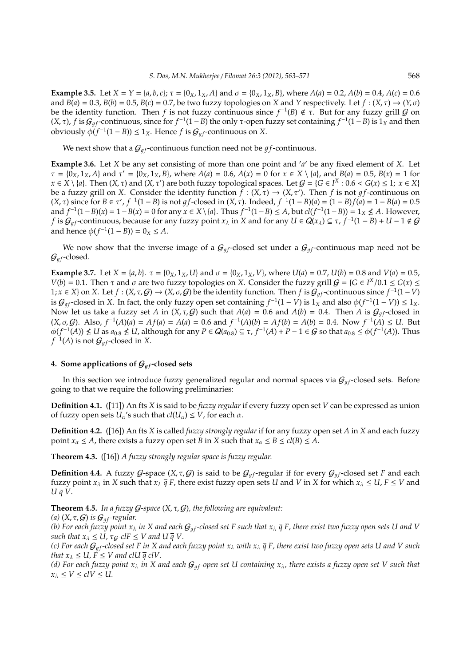**Example 3.5.** Let  $X = Y = \{a, b, c\}$ ;  $\tau = \{0_X, 1_X, A\}$  and  $\sigma = \{0_X, 1_X, B\}$ , where  $A(a) = 0.2$ ,  $A(b) = 0.4$ ,  $A(c) = 0.6$ and  $B(a) = 0.3$ ,  $B(b) = 0.5$ ,  $B(c) = 0.7$ , be two fuzzy topologies on *X* and *Y* respectively. Let  $f : (X, \tau) \to (Y, \sigma)$ be the identity function. Then *f* is not fuzzy continuous since  $f^{-1}(B) \notin \tau$ . But for any fuzzy grill G on (*X*, τ), *f* is *G*<sub>*gf*</sub>-continuous, since for *f*<sup>-1</sup>(1 − *B*) the only τ-open fuzzy set containing *f*<sup>-1</sup>(1 − *B*) is 1<sub>*X*</sub> and then obviously  $φ(f^{-1}(1 - B)) ≤ 1<sub>X</sub>$ . Hence *f* is  $G<sub>gf</sub>$ -continuous on *X*.

We next show that a  $G_{qf}$ -continuous function need not be  $gf$ -continuous.

**Example 3.6.** Let *X* be any set consisting of more than one point and ′ *a* ′ be any fixed element of *X*. Let  $\tau = {\overline{0}_X, 1_X, A}$  and  $\tau' = {\overline{0}_X, 1_X, B}$ , where  $A(a) = 0.6$ ,  $A(x) = 0$  for  $x \in X \setminus \{a\}$ , and  $B(a) = 0.5$ ,  $B(x) = 1$  for  $x \in X \setminus \{a\}$ . Then  $(X, \tau)$  and  $(X, \tau')$  are both fuzzy topological spaces. Let  $G = \{G \in I^X : 0.6 < G(x) \leq 1; x \in X\}$ be a fuzzy grill on *X*. Consider the identity function  $f : (X, \tau) \to (X, \tau')$ . Then f is not gf-continuous on  $(X, τ)$  since for *B* ∈ τ',  $f^{-1}(1 - B)$  is not *gf*-closed in  $(X, τ)$ . Indeed,  $f^{-1}(1 - B)(a) = (1 - B)f(a) = 1 - B(a) = 0.5$ and  $f^{-1}(1-B)(x) = 1 - B(x) = 0$  for any  $x \in X \setminus \{a\}$ . Thus  $f^{-1}(1-B) \le A$ , but  $cl(f^{-1}(1-B)) = 1_X \nleq A$ . However, *f* is  $G_{gf}$ -continuous, because for any fuzzy point  $x_{\lambda}$  in *X* and for any  $U \in Q(x_{\lambda}) \subseteq \tau$ ,  $f^{-1}(1-B) + U - 1 \notin G$ and hence  $\phi(f^{-1}(1 - B)) = 0_X \le A$ .

We now show that the inverse image of a  $G_{af}$ -closed set under a  $G_{af}$ -continuous map need not be  $\mathcal{G}_{qf}$ -closed.

**Example 3.7.** Let  $X = \{a, b\}$ .  $\tau = \{0_X, 1_X, U\}$  and  $\sigma = \{0_X, 1_X, V\}$ , where  $U(a) = 0.7$ ,  $U(b) = 0.8$  and  $V(a) = 0.5$ , *V*(*b*) = 0.1. Then *τ* and *σ* are two fuzzy topologies on *X*. Consider the fuzzy grill *G* = {*G* ∈ *I<sup>X</sup>*/0.1 ≤ *G*(*x*) ≤ 1; *x* ∈ *X*} on *X*. Let *f* : (*X*, τ, *G*) → (*X*, σ, *G*) be the identity function. Then *f* is  $G_{gf}$ -continuous since  $f^{-1}(1-V)$ is  $G_{gf}$ -closed in *X*. In fact, the only fuzzy open set containing  $f^{-1}(1 - V)$  is 1<sub>*X*</sub> and also  $\phi(f^{-1}(1 - V)) \le 1_X$ . Now let us take a fuzzy set *A* in  $(X, \tau, G)$  such that  $A(a) = 0.6$  and  $A(b) = 0.4$ . Then *A* is  $G_{af}$ -closed in  $(X, \sigma, G)$ . Also,  $f^{-1}(A)(a) = Af(a) = A(a) = 0.6$  and  $f^{-1}(A)(b) = Af(b) = A(b) = 0.4$ . Now  $f^{-1}(A) \le U$ . But  $\phi(f^{-1}(A)) \nleq U$  as  $a_{0.8} \nleq U$ , although for any  $P \in \mathbf{Q}(a_{0.8}) \subseteq \tau$ ,  $f^{-1}(A) + P - 1 \in \mathbf{G}$  so that  $a_{0.8} \leq \phi(f^{-1}(A))$ . Thus  $f^{-1}(A)$  is not  $\mathcal G_{gf}$ -closed in  $X.$ 

## **4. Some applications of**  $G_{af}$ **-closed sets**

In this section we introduce fuzzy generalized regular and normal spaces via  $G_{af}$ -closed sets. Before going to that we require the following preliminaries:

**Definition 4.1.** ([11]) An fts *X* is said to be *fuzzy regular* if every fuzzy open set *V* can be expressed as union of fuzzy open sets  $U_\alpha$ 's such that  $cl(U_\alpha) \leq V$ , for each  $\alpha$ .

**Definition 4.2.** ([16]) An fts *X* is called *fuzzy strongly regular* if for any fuzzy open set *A* in *X* and each fuzzy point  $x_\alpha \leq A$ , there exists a fuzzy open set *B* in *X* such that  $x_\alpha \leq B \leq cl(B) \leq A$ .

**Theorem 4.3.** ([16]) *A fuzzy strongly regular space is fuzzy regular.*

**Definition 4.4.** A fuzzy  $G$ -space  $(X, \tau, G)$  is said to be  $G_{qf}$ -regular if for every  $G_{qf}$ -closed set *F* and each fuzzy point  $x_\lambda$  in *X* such that  $x_\lambda \bar{q} F$ , there exist fuzzy open sets *U* and *V* in *X* for which  $x_\lambda \leq U$ ,  $F \leq V$  and *U q V*.

**Theorem 4.5.** In a fuzzy  $G$ -space  $(X, \tau, G)$ , the following are equivalent:

*(a)* (*X*,  $\tau$ ,  $G$ ) *is*  $G_{qf}$ -regular.

*(b)* For each fuzzy point  $x_\lambda$  in X and each  $G_{qf}$ -closed set F such that  $x_\lambda \bar{q}$  F, there exist two fuzzy open sets U and V *such that*  $x_{\lambda} \leq U$ ,  $\tau_{G}$ -clF  $\leq V$  and  $U \overline{q} V$ .

*(c)* For each  $G_{qf}$ -closed set F in X and each fuzzy point  $x_\lambda$  with  $x_\lambda \bar{q}$  F, there exist two fuzzy open sets U and V such *that*  $x_{\lambda} \leq U$ ,  $F \leq V$  *and clU*  $\overline{q}$  *clV*.

*(d)* For each fuzzy point  $x_\lambda$  in X and each  $G_{af}$ -open set U containing  $x_\lambda$ , there exists a fuzzy open set V such that  $x_{\lambda} \le V \le cUV \le U$ .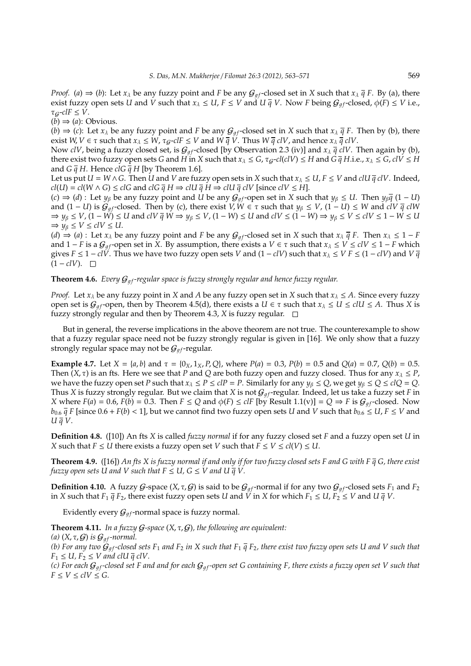*Proof.* (*a*)  $\Rightarrow$  (*b*): Let *x*<sub> $\lambda$ </sub> be any fuzzy point and *F* be any  $G_{qf}$ -closed set in *X* such that *x*<sub> $\lambda$ </sub>  $\bar{q}$  *F*. By (a), there exist fuzzy open sets *U* and *V* such that  $x_{\lambda} \leq U$ ,  $F \leq V$  and  $U \overline{q} V$ . Now *F* being  $G_{qf}$ -closed,  $\phi(F) \leq V$  i.e.,  $\tau_G$ -*clF*  $\leq$  *V*.

 $(b) \Rightarrow (a)$ : Obvious.

(*b*)  $\Rightarrow$  (*c*): Let *x*<sub> $\lambda$ </sub> be any fuzzy point and *F* be any  $G_{qf}$ -closed set in *X* such that  $x_{\lambda}$   $\bar{q}$  *F*. Then by (b), there exist *W*, *V*  $\in \tau$  such that  $x_{\lambda} \leq W$ ,  $\tau_g$ -*clF*  $\leq V$  and *W*  $\bar{q}$   $\check{V}$ . Thus *W*  $\bar{q}$  *clV*, and hence  $x_{\lambda}$   $\bar{q}$  *clV*.

Now *clV*, being a fuzzy closed set, is  $G_{af}$ -closed [by Observation 2.3 (iv)] and  $x_{\lambda} \bar{q}$  *clV*. Then again by (b), there exist two fuzzy open sets *G* and *H* in *X* such that  $x_{\lambda} \le G$ ,  $\tau_g$ -*cl*(*clV*)  $\le H$  and  $G \bar{q} H$ .i.e.,  $x_{\lambda} \le G$ , *clV*  $\le H$ and  $G \overline{q} H$ . Hence *clG*  $\overline{q} H$  [by Theorem 1.6].

Let us put  $U = W \wedge G$ . Then *U* and *V* are fuzzy open sets in *X* such that  $x_{\lambda} \leq U, F \leq V$  and *clU*  $\bar{q}$  *clV*. Indeed, *cl*(*U*) = *cl*(*W* ∧ *G*) ≤ *clG* and *clG*  $\bar{q}$  *H*  $\Rightarrow$  *clU*  $\bar{q}$  *H*  $\Rightarrow$  *clU*  $\bar{q}$  *clV* [since *clV* ≤ *H*].

 $(c) \Rightarrow (d)$ : Let  $y_\beta$  be any fuzzy point and *U* be any  $G_{af}$ -open set in *X* such that  $y_\beta \leq U$ . Then  $y_\beta \overline{q}$  (1 − *U*) and  $(1 - U)$  is  $G_{gf}$ -closed. Then by (c), there exist  $V, W \in \tau$  such that  $y_\beta \leq V$ ,  $(1 - U) \leq W$  and *clV*  $\bar{q}$  *clW*  $\Rightarrow$   $y_{\beta} \le V$ ,  $(1 - W) \le U$  and  $c/V \overline{q} W \Rightarrow y_{\beta} \le V$ ,  $(1 - W) \le U$  and  $c/V \le (1 - W) \Rightarrow y_{\beta} \le V \le c/V \le 1 - W \le U$  $\Rightarrow$   $y_{\beta} \le V \le c/V \le U$ .

(*d*)  $\Rightarrow$  (*a*) : Let *x*<sub> $\lambda$ </sub> be any fuzzy point and *F* be any  $G_{qf}$ -closed set in *X* such that  $x_{\lambda} \bar{q}$  *F*. Then  $x_{\lambda} \leq 1 - F$ and  $1 - F$  is a  $\mathcal{G}_{qf}$ -open set in *X*. By assumption, there exists a  $V \in \tau$  such that  $x_{\lambda} \leq V \leq c/V \leq 1 - F$  which gives *F* ≤ 1 − *clV*. Thus we have two fuzzy open sets *V* and (1 − *clV*) such that  $x_\lambda$  ≤ *V F* ≤ (1 − *clV*) and *V*  $\overline{q}$  $(1 - c l V)$ . □

#### **Theorem 4.6.** *Every*  $G_{qf}$ -regular space is fuzzy strongly regular and hence fuzzy regular.

*Proof.* Let  $x_\lambda$  be any fuzzy point in *X* and *A* be any fuzzy open set in *X* such that  $x_\lambda \leq A$ . Since every fuzzy open set is  $G_{gf}$ -open, then by Theorem 4.5(d), there exists a  $U \in \tau$  such that  $x_{\lambda} \leq U \leq c|U| \leq A$ . Thus *X* is fuzzy strongly regular and then by Theorem 4.3, *X* is fuzzy regular.

But in general, the reverse implications in the above theorem are not true. The counterexample to show that a fuzzy regular space need not be fuzzy strongly regular is given in [16]. We only show that a fuzzy strongly regular space may not be  $\mathcal{G}_{qf}$ -regular.

**Example 4.7.** Let  $X = \{a, b\}$  and  $\tau = \{0_X, 1_X, P, Q\}$ , where  $P(a) = 0.3$ ,  $P(b) = 0.5$  and  $Q(a) = 0.7$ ,  $Q(b) = 0.5$ . Then  $(X, \tau)$  is an fts. Here we see that *P* and *Q* are both fuzzy open and fuzzy closed. Thus for any  $x_{\lambda} \leq P$ , we have the fuzzy open set *P* such that  $x_{\lambda} \leq P \leq cIP = P$ . Similarly for any  $y_{\beta} \leq Q$ , we get  $y_{\beta} \leq Q \leq cIQ = Q$ . Thus *X* is fuzzy strongly regular. But we claim that *X* is not  $G_{qf}$ -regular. Indeed, let us take a fuzzy set *F* in *X* where  $F(a) = 0.6$ ,  $F(b) = 0.3$ . Then  $F \le Q$  and  $\phi(F) \le cF$  [by Result 1.1(v)] =  $Q \Rightarrow F$  is  $\mathcal{G}_{af}$ -closed. Now *b*<sub>0.6</sub>  $\overline{q}$  *F* [since 0.6 + *F*(*b*) < 1], but we cannot find two fuzzy open sets *U* and *V* such that *b*<sub>0.6</sub>  $\leq U$ , *F*  $\leq$  *V* and *U q V*.

**Definition 4.8.** ([10]) An fts *X* is called *fuzzy normal* if for any fuzzy closed set *F* and a fuzzy open set *U* in *X* such that  $F \leq U$  there exists a fuzzy open set *V* such that  $F \leq V \leq cl(V) \leq U$ .

**Theorem 4.9.** ([16]) *An fts X is fuzzy normal if and only if for two fuzzy closed sets F and G with F q G, there exist fuzzy open sets U and V such that*  $F \le U$ ,  $G \le V$  *and*  $U \overline{q} V$ .

**Definition 4.10.** A fuzzy *G*-space  $(X, \tau, G)$  is said to be  $G_{qf}$ -normal if for any two  $G_{qf}$ -closed sets  $F_1$  and  $F_2$ in *X* such that  $F_1 \bar{q} F_2$ , there exist fuzzy open sets *U* and *V* in *X* for which  $F_1 \le U$ ,  $F_2 \le V$  and *U* $\bar{q} V$ .

Evidently every  $\mathcal{G}_{gf}$ -normal space is fuzzy normal.

**Theorem 4.11.** *In a fuzzy* G*-space* (*X*, τ, G)*, the following are equivalent:*

*(a)*  $(X, \tau, G)$  *is*  $G_{qf}$ *-normal.* 

*(b)* For any two  $G_{qf}$ -closed sets  $F_1$  and  $F_2$  in X such that  $F_1$   $\bar{q}$   $F_2$ , there exist two fuzzy open sets U and V such that  $F_1 \leq U, F_2 \leq V$  and clU  $\bar{q}$  clV.

*(c)* For each  $G_{af}$ -closed set F and and for each  $G_{af}$ -open set G containing F, there exists a fuzzy open set V such that  $F \leq V \leq c l V \leq G.$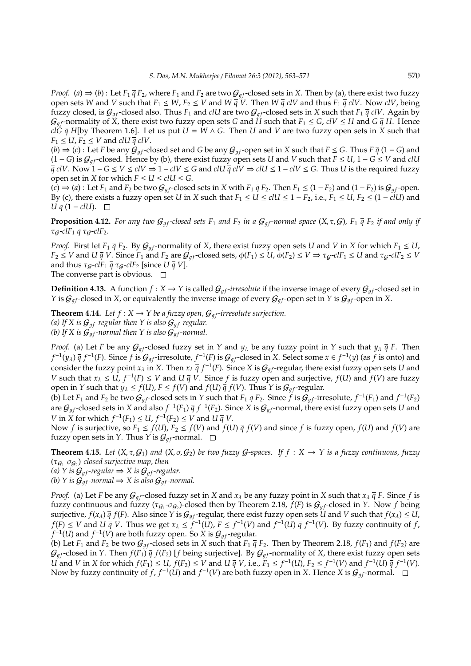*Proof.* (*a*)  $\Rightarrow$  (*b*): Let *F*<sub>1</sub>  $\bar{q}$  *F*<sub>2</sub>, where *F*<sub>1</sub> and *F*<sub>2</sub> are two  $G_{gf}$ -closed sets in *X*. Then by (*a*), there exist two fuzzy open sets *W* and *V* such that  $F_1 \leq W, F_2 \leq V$  and  $W \overline{q} V$ . Then  $W \overline{q} cV$  and thus  $F_1 \overline{q} cV$ . Now  $cV$ , being fuzzy closed, is  $G_{qf}$ -closed also. Thus  $F_1$  and *clU* are two  $G_{qf}$ -closed sets in *X* such that  $F_1 \bar{q}$  *clV*. Again by  $G_{af}$ -normality of *X*, there exist two fuzzy open sets *G* and *H* such that  $F_1 \le G$ ,  $c/V \le H$  and  $G \overline{q} H$ . Hence *clG*  $\bar{q}$  H[by Theorem 1.6]. Let us put  $U = W \wedge G$ . Then *U* and *V* are two fuzzy open sets in *X* such that  $F_1 \leq U, F_2 \leq V$  and *clU*  $\bar{q}$  *clV*.

 $(b)$  ⇒  $(c)$ : Let *F* be any  $G_{af}$ -closed set and *G* be any  $G_{af}$ -open set in *X* such that *F* ≤ *G*. Thus *F*  $\bar{q}$  (1 − *G*) and  $(1 - G)$  is  $G_{af}$ -closed. Hence by (b), there exist fuzzy open sets *U* and *V* such that  $F \leq U$ ,  $1 - G \leq V$  and *clU*  $\overline{q}$  *clV*. Now  $1 - G \le V \le c/V \Rightarrow 1 - c/V \le G$  and  $c/U \overline{q}$   $c/V \Rightarrow c/U \le 1 - c/V \le G$ . Thus *U* is the required fuzzy open set in *X* for which  $F \le U \le c$ *l*  $U \le G$ .

 $(c) \Rightarrow (a)$ : Let  $F_1$  and  $F_2$  be two  $G_{af}$ -closed sets in *X* with  $F_1 \overline{q} F_2$ . Then  $F_1 \le (1 - F_2)$  and  $(1 - F_2)$  is  $G_{af}$ -open. By (c), there exists a fuzzy open set *U* in *X* such that  $F_1 \le U \le c/U \le 1 - F_2$ , i.e.,  $F_1 \le U$ ,  $F_2 \le (1 - cUV)$  and *U*  $\overline{q}$  (1 − *clU*).  $\Box$ 

**Proposition 4.12.** For any two  $G_{af}$ -closed sets  $F_1$  and  $F_2$  in a  $G_{af}$ -normal space  $(X, \tau, G)$ ,  $F_1$   $\bar{q}$   $F_2$  *if and only if* τG*-clF*<sup>1</sup> *q* τG*-clF*2*.*

*Proof.* First let  $F_1 \bar{q} F_2$ . By  $G_{qf}$ -normality of *X*, there exist fuzzy open sets *U* and *V* in *X* for which  $F_1 \le U$ ,  $F_2 \le V$  and  $U \overline{q} V$ . Since  $F_1$  and  $F_2$  are  $\mathcal{G}_{qf}$ -closed sets,  $\phi(F_1) \le U$ ,  $\phi(F_2) \le V \Rightarrow \tau_{\mathcal{G}}$ -*clF*<sub>1</sub>  $\le U$  and  $\tau_{\mathcal{G}}$ -*clF*<sub>2</sub>  $\le V$ and thus  $\tau_g$ -*clF*<sub>1</sub>  $\bar{q}$   $\tau_g$ -*clF*<sub>2</sub> [since *U*  $\bar{q}$  *V*]. The converse part is obvious.  $\square$ 

**Definition 4.13.** A function  $f : X \to Y$  is called  $\mathcal{G}_{af}$ -*irresolute* if the inverse image of every  $\mathcal{G}_{af}$ -closed set in *Y* is  $\mathcal{G}_{qf}$ -closed in *X*, or equivalently the inverse image of every  $\mathcal{G}_{qf}$ -open set in *Y* is  $\mathcal{G}_{qf}$ -open in *X*.

**Theorem 4.14.** *Let*  $f : X \to Y$  *be a fuzzy open,*  $G_{gf}$ -irresolute surjection. *(a)* If X is  $G_{af}$ -regular then Y is also  $G_{af}$ -regular. *(b)* If X is  $\mathcal{G}_{qf}$ -normal then Y is also  $\mathcal{G}_{qf}$ -normal.

*Proof.* (a) Let *F* be any  $G_{qf}$ -closed fuzzy set in *Y* and  $y_{\lambda}$  be any fuzzy point in *Y* such that  $y_{\lambda}$   $\bar{q}$  *F*. Then  $f^{-1}(y_\lambda) \bar{q} f^{-1}(F)$ . Since  $f$  is  $\mathcal{G}_{gf}$ -irresolute,  $f^{-1}(F)$  is  $\mathcal{G}_{gf}$ -closed in  $X$ . Select some  $x \in f^{-1}(y)$  (as  $f$  is onto) and consider the fuzzy point  $x_\lambda$  in X. Then  $x_\lambda \bar{q} f^{-1}(F)$ . Since X is  $G_{gf}$ -regular, there exist fuzzy open sets  $U$  and *V* such that  $x_{\lambda} \leq U$ ,  $f^{-1}(F) \leq V$  and  $U \overline{q} V$ . Since *f* is fuzzy open and surjective,  $f(U)$  and  $f(V)$  are fuzzy open in *Y* such that  $y_{\lambda} \le f(U)$ ,  $F \le f(V)$  and  $f(U) \bar{q} f(V)$ . Thus *Y* is  $\mathcal{G}_{qf}$ -regular.

(b) Let  $F_1$  and  $F_2$  be two  $\mathcal{G}_{gf}$ -closed sets in *Y* such that  $F_1$   $\bar{q}$   $F_2$ . Since  $f$  is  $\mathcal{G}_{gf}$ -irresolute,  $f^{-1}(F_1)$  and  $f^{-1}(F_2)$ are  $G_{gf}$ -closed sets in *X* and also  $f^{-1}(F_1) \bar{q} f^{-1}(F_2)$ . Since *X* is  $G_{gf}$ -normal, there exist fuzzy open sets *U* and *V* in *X* for which  $f^{-1}(F_1) \le U$ ,  $f^{-1}(F_2) \le V$  and  $U \overline{q} V$ .

Now *f* is surjective, so  $F_1 \le f(U)$ ,  $F_2 \le f(V)$  and  $f(U) \bar{q} f(V)$  and since *f* is fuzzy open,  $f(U)$  and  $f(V)$  are fuzzy open sets in *Y*. Thus *Y* is  $G_{af}$ -normal.  $\Box$ 

**Theorem 4.15.** Let  $(X, \tau, \mathcal{G}_1)$  and  $(X, \sigma, \mathcal{G}_2)$  be two fuzzy G-spaces. If  $f : X \to Y$  is a fuzzy continuous, fuzzy (τ<sup>G</sup><sup>1</sup> *-*σ<sup>G</sup><sup>2</sup> )*-closed surjective map, then*

*(a) Y is*  $G_{af}$ *-regular*  $\Rightarrow$  *X is*  $G_{af}$ *-regular.* 

*(b) Y is*  $G_{qf}$ *-normal*  $\Rightarrow$  *X is also*  $G_{qf}$ *-normal.* 

*Proof.* (a) Let *F* be any  $G_{qf}$ -closed fuzzy set in *X* and  $x_{\lambda}$  be any fuzzy point in *X* such that  $x_{\lambda}$   $\bar{q}$  *F*. Since *f* is fuzzy continuous and fuzzy ( $\tau_{G_1}$ - $\sigma_{G_2}$ )-closed then by Theorem 2.18,  $f(F)$  is  $G_{gf}$ -closed in *Y*. Now  $f$  being surjective,  $f(x_\lambda) \bar{q} f(F)$ . Also since *Y* is  $G_{qf}$ -regular, there exist fuzzy open sets *U* and *V* such that  $f(x_\lambda) \leq U$ , *f*(*F*) ≤ *V* and *U*  $\bar{q}$  *V*. Thus we get  $x_\lambda$  ≤ *f*<sup>-1</sup>(*U*), *F* ≤ *f*<sup>-1</sup>(*V*) and *f*<sup>-1</sup>(*U*)  $\bar{q}$  *f*<sup>-1</sup>(*V*). By fuzzy continuity of *f*,  $f^{-1}(U)$  and  $f^{-1}(V)$  are both fuzzy open. So  $X$  is  $\mathcal{G}_{gf}$ -regular.

(b) Let  $F_1$  and  $F_2$  be two  $G_{qf}$ -closed sets in *X* such that  $F_1$   $\bar{q}$   $F_2$ . Then by Theorem 2.18,  $f(F_1)$  and  $f(F_2)$  are  $G_{qf}$ -closed in *Y*. Then  $f(F_1) \bar{q} f(F_2)$  [*f* being surjective]. By  $G_{qf}$ -normality of *X*, there exist fuzzy open sets *U* and *V* in *X* for which  $f(F_1) \le U$ ,  $f(F_2) \le V$  and  $U \bar{q} V$ , i.e.,  $F_1 \le f^{-1}(U)$ ,  $F_2 \le f^{-1}(V)$  and  $f^{-1}(U) \bar{q} f^{-1}(V)$ . Now by fuzzy continuity of *f*,  $f^{-1}(U)$  and  $f^{-1}(V)$  are both fuzzy open in *X*. Hence *X* is  $\mathcal{G}_{gf}$ -normal.